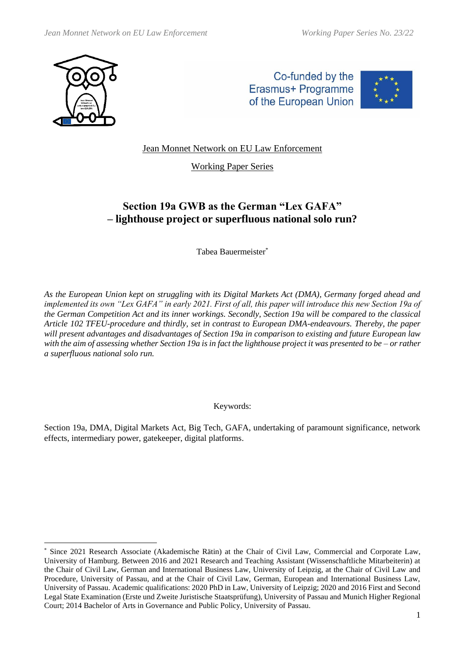





Jean Monnet Network on EU Law Enforcement

Working Paper Series

# **Section 19a GWB as the German "Lex GAFA" – lighthouse project or superfluous national solo run?**

Tabea Bauermeister\*

*As the European Union kept on struggling with its Digital Markets Act (DMA), Germany forged ahead and implemented its own "Lex GAFA" in early 2021. First of all, this paper will introduce this new Section 19a of the German Competition Act and its inner workings. Secondly, Section 19a will be compared to the classical Article 102 TFEU-procedure and thirdly, set in contrast to European DMA-endeavours. Thereby, the paper will present advantages and disadvantages of Section 19a in comparison to existing and future European law with the aim of assessing whether Section 19a is in fact the lighthouse project it was presented to be – or rather a superfluous national solo run.*

Keywords:

Section 19a, DMA, Digital Markets Act, Big Tech, GAFA, undertaking of paramount significance, network effects, intermediary power, gatekeeper, digital platforms.

Since 2021 Research Associate (Akademische Rätin) at the Chair of Civil Law, Commercial and Corporate Law, University of Hamburg. Between 2016 and 2021 Research and Teaching Assistant (Wissenschaftliche Mitarbeiterin) at the Chair of Civil Law, German and International Business Law, University of Leipzig, at the Chair of Civil Law and Procedure, University of Passau, and at the Chair of Civil Law, German, European and International Business Law, University of Passau. Academic qualifications: 2020 PhD in Law, University of Leipzig; 2020 and 2016 First and Second Legal State Examination (Erste und Zweite Juristische Staatsprüfung), University of Passau and Munich Higher Regional Court; 2014 Bachelor of Arts in Governance and Public Policy, University of Passau.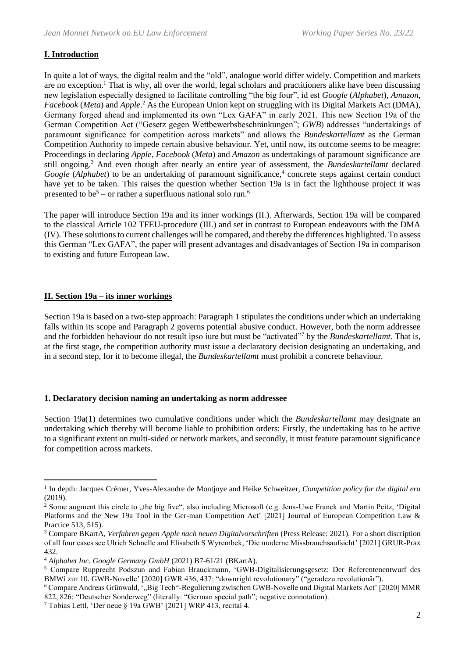# **I. Introduction**

In quite a lot of ways, the digital realm and the "old", analogue world differ widely. Competition and markets are no exception.<sup>1</sup> That is why, all over the world, legal scholars and practitioners alike have been discussing new legislation especially designed to facilitate controlling "the big four", id est *Google* (*Alphabet*), *Amazon*, *Facebook* (*Meta*) and *Apple*. <sup>2</sup> As the European Union kept on struggling with its Digital Markets Act (DMA), Germany forged ahead and implemented its own "Lex GAFA" in early 2021. This new Section 19a of the German Competition Act ("Gesetz gegen Wettbewerbsbeschränkungen"; *GWB*) addresses "undertakings of paramount significance for competition across markets" and allows the *Bundeskartellamt* as the German Competition Authority to impede certain abusive behaviour. Yet, until now, its outcome seems to be meagre: Proceedings in declaring *Apple*, *Facebook* (*Meta*) and *Amazon* as undertakings of paramount significance are still ongoing.<sup>3</sup> And even though after nearly an entire year of assessment, the *Bundeskartellamt* declared Google (Alphabet) to be an undertaking of paramount significance,<sup>4</sup> concrete steps against certain conduct have yet to be taken. This raises the question whether Section 19a is in fact the lighthouse project it was presented to be<sup>5</sup> – or rather a superfluous national solo run.<sup>6</sup>

The paper will introduce Section 19a and its inner workings (II.). Afterwards, Section 19a will be compared to the classical Article 102 TFEU-procedure (III.) and set in contrast to European endeavours with the DMA (IV). These solutions to current challenges will be compared, and thereby the differences highlighted. To assess this German "Lex GAFA", the paper will present advantages and disadvantages of Section 19a in comparison to existing and future European law.

## **II. Section 19a – its inner workings**

Section 19a is based on a two-step approach: Paragraph 1 stipulates the conditions under which an undertaking falls within its scope and Paragraph 2 governs potential abusive conduct. However, both the norm addressee and the forbidden behaviour do not result ipso iure but must be "activated"<sup>7</sup> by the *Bundeskartellamt*. That is, at the first stage, the competition authority must issue a declaratory decision designating an undertaking, and in a second step, for it to become illegal, the *Bundeskartellamt* must prohibit a concrete behaviour.

## **1. Declaratory decision naming an undertaking as norm addressee**

Section 19a(1) determines two cumulative conditions under which the *Bundeskartellamt* may designate an undertaking which thereby will become liable to prohibition orders: Firstly, the undertaking has to be active to a significant extent on multi-sided or network markets, and secondly, it must feature paramount significance for competition across markets.

<sup>1</sup> In depth: Jacques Crémer, Yves-Alexandre de Montjoye and Heike Schweitzer, *Competition policy for the digital era* (2019).

<sup>&</sup>lt;sup>2</sup> Some augment this circle to , the big five", also including Microsoft (e.g. Jens-Uwe Franck and Martin Peitz, 'Digital Platforms and the New 19a Tool in the Ger-man Competition Act' [2021] Journal of European Competition Law & Practice 513, 515).

<sup>&</sup>lt;sup>3</sup> Compare BKartA, *Verfahren gegen Apple nach neuen Digitalvorschriften* (Press Release: 2021). For a short discription of all four cases see Ulrich Schnelle and Elisabeth S Wyrembek, 'Die moderne Missbrauchsaufsicht' [2021] GRUR-Prax 432.

<sup>4</sup> *Alphabet Inc. Google Germany GmbH* (2021) B7-61/21 (BKartA).

<sup>5</sup> Compare Rupprecht Podszun and Fabian Brauckmann, 'GWB-Digitalisierungsgesetz: Der Referentenentwurf des BMWi zur 10. GWB-Novelle' [2020] GWR 436, 437: "downright revolutionary" ("geradezu revolutionär").

<sup>&</sup>lt;sup>6</sup> Compare Andreas Grünwald, '"Big Tech"-Regulierung zwischen GWB-Novelle und Digital Markets Act' [2020] MMR 822, 826: "Deutscher Sonderweg" (literally: "German special path"; negative connotation).

<sup>7</sup> Tobias Lettl, 'Der neue § 19a GWB' [2021] WRP 413, recital 4.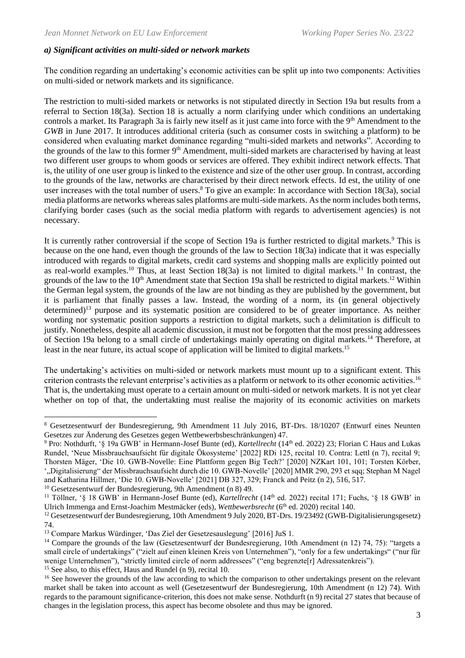#### *a) Significant activities on multi-sided or network markets*

The condition regarding an undertaking's economic activities can be split up into two components: Activities on multi-sided or network markets and its significance.

The restriction to multi-sided markets or networks is not stipulated directly in Section 19a but results from a referral to Section 18(3a). Section 18 is actually a norm clarifying under which conditions an undertaking controls a market. Its Paragraph 3a is fairly new itself as it just came into force with the 9<sup>th</sup> Amendment to the *GWB* in June 2017. It introduces additional criteria (such as consumer costs in switching a platform) to be considered when evaluating market dominance regarding "multi-sided markets and networks". According to the grounds of the law to this former 9th Amendment, multi-sided markets are characterised by having at least two different user groups to whom goods or services are offered. They exhibit indirect network effects. That is, the utility of one user group is linked to the existence and size of the other user group. In contrast, according to the grounds of the law, networks are characterised by their direct network effects. Id est, the utility of one user increases with the total number of users.<sup>8</sup> To give an example: In accordance with Section 18(3a), social media platforms are networks whereas sales platforms are multi-side markets. As the norm includes both terms, clarifying border cases (such as the social media platform with regards to advertisement agencies) is not necessary.

It is currently rather controversial if the scope of Section 19a is further restricted to digital markets.<sup>9</sup> This is because on the one hand, even though the grounds of the law to Section 18(3a) indicate that it was especially introduced with regards to digital markets, credit card systems and shopping malls are explicitly pointed out as real-world examples.<sup>10</sup> Thus, at least Section 18(3a) is not limited to digital markets.<sup>11</sup> In contrast, the grounds of the law to the  $10<sup>th</sup>$  Amendment state that Section 19a shall be restricted to digital markets.<sup>12</sup> Within the German legal system, the grounds of the law are not binding as they are published by the government, but it is parliament that finally passes a law. Instead, the wording of a norm, its (in general objectively determined)<sup>13</sup> purpose and its systematic position are considered to be of greater importance. As neither wording nor systematic position supports a restriction to digital markets, such a delimitation is difficult to justify. Nonetheless, despite all academic discussion, it must not be forgotten that the most pressing addressees of Section 19a belong to a small circle of undertakings mainly operating on digital markets.<sup>14</sup> Therefore, at least in the near future, its actual scope of application will be limited to digital markets.<sup>15</sup>

The undertaking's activities on multi-sided or network markets must mount up to a significant extent. This criterion contrasts the relevant enterprise's activities as a platform or network to its other economic activities.<sup>16</sup> That is, the undertaking must operate to a certain amount on multi-sided or network markets. It is not yet clear whether on top of that, the undertakting must realise the majority of its economic activities on markets

<sup>10</sup> Gesetzesentwurf der Bundesregierung, 9th Amendment (n 8) 49.

<sup>15</sup> See also, to this effect, Haus and Rundel (n 9), recital 10.

<sup>8</sup> Gesetzesentwurf der Bundesregierung, 9th Amendment 11 July 2016, BT-Drs. 18/10207 (Entwurf eines Neunten Gesetzes zur Änderung des Gesetzes gegen Wettbewerbsbeschränkungen) 47.

<sup>9</sup> Pro: Nothdurft, '§ 19a GWB' in Hermann-Josef Bunte (ed), *Kartellrecht* (14th ed. 2022) 23; Florian C Haus and Lukas Rundel, 'Neue Missbrauchsaufsicht für digitale Ökosysteme' [2022] RDi 125, recital 10. Contra: Lettl (n 7), recital 9; Thorsten Mäger, 'Die 10. GWB-Novelle: Eine Plattform gegen Big Tech?' [2020] NZKart 101, 101; Torsten Körber, ',Digitalisierung" der Missbrauchsaufsicht durch die 10. GWB-Novelle' [2020] MMR 290, 293 et sqq; Stephan M Nagel and Katharina Hillmer, 'Die 10. GWB-Novelle' [2021] DB 327, 329; Franck and Peitz (n 2), 516, 517.

<sup>&</sup>lt;sup>11</sup> Töllner, '§ 18 GWB' in Hermann-Josef Bunte (ed), *Kartellrecht* (14<sup>th</sup> ed. 2022) recital 171; Fuchs, '§ 18 GWB' in Ulrich Immenga and Ernst-Joachim Mestmäcker (eds), *Wettbewerbsrecht* (6th ed. 2020) recital 140.

<sup>&</sup>lt;sup>12</sup> Gesetzesentwurf der Bundesregierung, 10th Amendment 9 July 2020, BT-Drs. 19/23492 (GWB-Digitalisierungsgesetz) 74.

<sup>13</sup> Compare Markus Würdinger, 'Das Ziel der Gesetzesauslegung' [2016] JuS 1.

<sup>&</sup>lt;sup>14</sup> Compare the grounds of the law (Gesetzesentwurf der Bundesregierung, 10th Amendment (n 12) 74, 75): "targets a small circle of undertakings" ("zielt auf einen kleinen Kreis von Unternehmen"), "only for a few undertakings" ("nur für wenige Unternehmen"), "strictly limited circle of norm addressees" ("eng begrenzte[r] Adressatenkreis").

<sup>&</sup>lt;sup>16</sup> See however the grounds of the law according to which the comparison to other undertakings present on the relevant market shall be taken into account as well (Gesetzesentwurf der Bundesregierung, 10th Amendment (n 12) 74). With regards to the paramount significance-criterion, this does not make sense. Nothdurft (n 9) recital 27 states that because of changes in the legislation process, this aspect has become obsolete and thus may be ignored.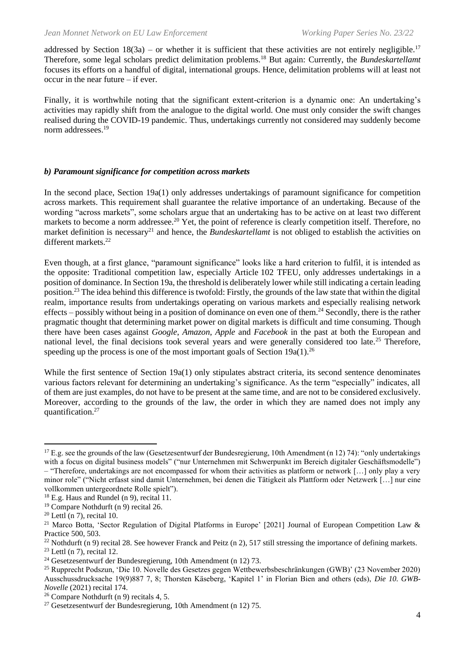addressed by Section  $18(3a)$  – or whether it is sufficient that these activities are not entirely negligible.<sup>17</sup> Therefore, some legal scholars predict delimitation problems.<sup>18</sup> But again: Currently, the *Bundeskartellamt* focuses its efforts on a handful of digital, international groups. Hence, delimitation problems will at least not occur in the near future – if ever.

Finally, it is worthwhile noting that the significant extent-criterion is a dynamic one: An undertaking's activities may rapidly shift from the analogue to the digital world. One must only consider the swift changes realised during the COVID-19 pandemic. Thus, undertakings currently not considered may suddenly become norm addressees.<sup>19</sup>

#### *b) Paramount significance for competition across markets*

In the second place, Section 19a(1) only addresses undertakings of paramount significance for competition across markets. This requirement shall guarantee the relative importance of an undertaking. Because of the wording "across markets", some scholars argue that an undertaking has to be active on at least two different markets to become a norm addressee.<sup>20</sup> Yet, the point of reference is clearly competition itself. Therefore, no market definition is necessary<sup>21</sup> and hence, the *Bundeskartellamt* is not obliged to establish the activities on different markets.<sup>22</sup>

Even though, at a first glance, "paramount significance" looks like a hard criterion to fulfil, it is intended as the opposite: Traditional competition law, especially Article 102 TFEU, only addresses undertakings in a position of dominance. In Section 19a, the threshold is deliberately lower while still indicating a certain leading position.<sup>23</sup> The idea behind this difference is twofold: Firstly, the grounds of the law state that within the digital realm, importance results from undertakings operating on various markets and especially realising network effects – possibly without being in a position of dominance on even one of them.<sup>24</sup> Secondly, there is the rather pragmatic thought that determining market power on digital markets is difficult and time consuming. Though there have been cases against *Google*, *Amazon*, *Apple* and *Facebook* in the past at both the European and national level, the final decisions took several years and were generally considered too late.<sup>25</sup> Therefore, speeding up the process is one of the most important goals of Section 19a(1).<sup>26</sup>

While the first sentence of Section 19a(1) only stipulates abstract criteria, its second sentence denominates various factors relevant for determining an undertaking's significance. As the term "especially" indicates, all of them are just examples, do not have to be present at the same time, and are not to be considered exclusively. Moreover, according to the grounds of the law, the order in which they are named does not imply any quantification.<sup>27</sup>

<sup>&</sup>lt;sup>17</sup> E.g. see the grounds of the law (Gesetzesentwurf der Bundesregierung, 10th Amendment (n 12) 74): "only undertakings with a focus on digital business models" ("nur Unternehmen mit Schwerpunkt im Bereich digitaler Geschäftsmodelle")

<sup>–</sup> "Therefore, undertakings are not encompassed for whom their activities as platform or network […] only play a very minor role" ("Nicht erfasst sind damit Unternehmen, bei denen die Tätigkeit als Plattform oder Netzwerk […] nur eine vollkommen untergeordnete Rolle spielt").

<sup>&</sup>lt;sup>18</sup> E.g. Haus and Rundel (n 9), recital 11.

<sup>19</sup> Compare Nothdurft (n 9) recital 26.

 $20$  Lettl (n 7), recital 10.

<sup>&</sup>lt;sup>21</sup> Marco Botta, 'Sector Regulation of Digital Platforms in Europe' [2021] Journal of European Competition Law & Practice 500, 503.

 $22$  Nothdurft (n 9) recital 28. See however Franck and Peitz (n 2), 517 still stressing the importance of defining markets.

 $23$  Lettl (n 7), recital 12.

<sup>24</sup> Gesetzesentwurf der Bundesregierung, 10th Amendment (n 12) 73.

<sup>25</sup> Rupprecht Podszun, 'Die 10. Novelle des Gesetzes gegen Wettbewerbsbeschränkungen (GWB)' (23 November 2020) Ausschussdrucksache 19(9)887 7, 8; Thorsten Käseberg, 'Kapitel 1' in Florian Bien and others (eds), *Die 10. GWB-Novelle* (2021) recital 174.

<sup>&</sup>lt;sup>26</sup> Compare Nothdurft (n 9) recitals 4, 5.

<sup>27</sup> Gesetzesentwurf der Bundesregierung, 10th Amendment (n 12) 75.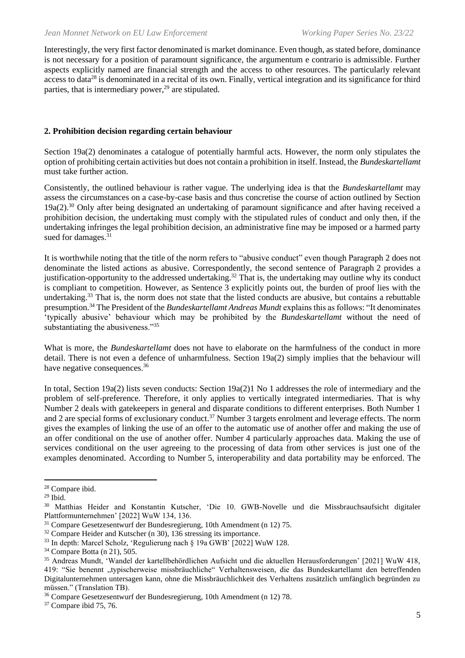Interestingly, the very first factor denominated is market dominance. Even though, as stated before, dominance is not necessary for a position of paramount significance, the argumentum e contrario is admissible. Further aspects explicitly named are financial strength and the access to other resources. The particularly relevant access to data<sup>28</sup> is denominated in a recital of its own. Finally, vertical integration and its significance for third parties, that is intermediary power, $^{29}$  are stipulated.

## **2. Prohibition decision regarding certain behaviour**

Section 19a(2) denominates a catalogue of potentially harmful acts. However, the norm only stipulates the option of prohibiting certain activities but does not contain a prohibition in itself. Instead, the *Bundeskartellamt* must take further action.

Consistently, the outlined behaviour is rather vague. The underlying idea is that the *Bundeskartellamt* may assess the circumstances on a case-by-case basis and thus concretise the course of action outlined by Section 19a(2).<sup>30</sup> Only after being designated an undertaking of paramount significance and after having received a prohibition decision, the undertaking must comply with the stipulated rules of conduct and only then, if the undertaking infringes the legal prohibition decision, an administrative fine may be imposed or a harmed party sued for damages.<sup>31</sup>

It is worthwhile noting that the title of the norm refers to "abusive conduct" even though Paragraph 2 does not denominate the listed actions as abusive. Correspondently, the second sentence of Paragraph 2 provides a justification-opportunity to the addressed undertaking.<sup>32</sup> That is, the undertaking may outline why its conduct is compliant to competition. However, as Sentence 3 explicitly points out, the burden of proof lies with the undertaking.<sup>33</sup> That is, the norm does not state that the listed conducts are abusive, but contains a rebuttable presumption.<sup>34</sup> The President of the *Bundeskartellamt Andreas Mundt* explains this as follows: "It denominates 'typically abusive' behaviour which may be prohibited by the *Bundeskartellamt* without the need of substantiating the abusiveness."<sup>35</sup>

What is more, the *Bundeskartellamt* does not have to elaborate on the harmfulness of the conduct in more detail. There is not even a defence of unharmfulness. Section 19a(2) simply implies that the behaviour will have negative consequences.<sup>36</sup>

In total, Section 19a(2) lists seven conducts: Section 19a(2)1 No 1 addresses the role of intermediary and the problem of self-preference. Therefore, it only applies to vertically integrated intermediaries. That is why Number 2 deals with gatekeepers in general and disparate conditions to different enterprises. Both Number 1 and 2 are special forms of exclusionary conduct.<sup>37</sup> Number 3 targets enrolment and leverage effects. The norm gives the examples of linking the use of an offer to the automatic use of another offer and making the use of an offer conditional on the use of another offer. Number 4 particularly approaches data. Making the use of services conditional on the user agreeing to the processing of data from other services is just one of the examples denominated. According to Number 5, interoperability and data portability may be enforced. The

<sup>28</sup> Compare ibid.

<sup>29</sup> Ibid.

<sup>30</sup> Matthias Heider and Konstantin Kutscher, 'Die 10. GWB-Novelle und die Missbrauchsaufsicht digitaler Plattformunternehmen' [2022] WuW 134, 136.

<sup>&</sup>lt;sup>31</sup> Compare Gesetzesentwurf der Bundesregierung, 10th Amendment (n 12) 75.

<sup>&</sup>lt;sup>32</sup> Compare Heider and Kutscher (n 30), 136 stressing its importance.

<sup>33</sup> In depth: Marcel Scholz, 'Regulierung nach § 19a GWB' [2022] WuW 128.

<sup>34</sup> Compare Botta (n 21), 505.

<sup>35</sup> Andreas Mundt, 'Wandel der kartellbehördlichen Aufsicht und die aktuellen Herausforderungen' [2021] WuW 418, 419: "Sie benennt "typischerweise missbräuchliche" Verhaltensweisen, die das Bundeskartellamt den betreffenden Digitalunternehmen untersagen kann, ohne die Missbräuchlichkeit des Verhaltens zusätzlich umfänglich begründen zu müssen." (Translation TB).

<sup>36</sup> Compare Gesetzesentwurf der Bundesregierung, 10th Amendment (n 12) 78.

<sup>37</sup> Compare ibid 75, 76.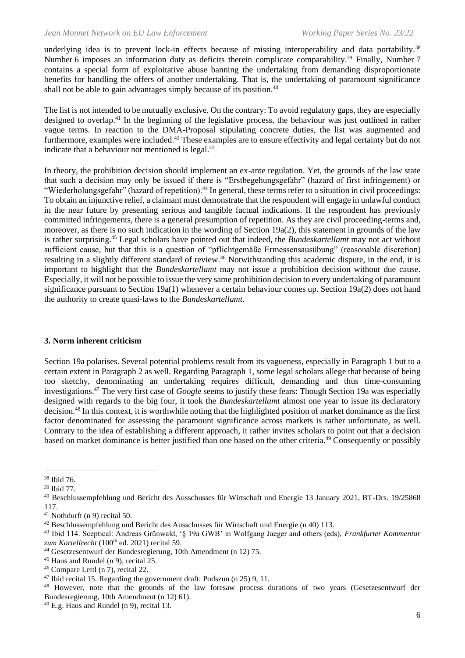underlying idea is to prevent lock-in effects because of missing interoperability and data portability.<sup>38</sup> Number 6 imposes an information duty as deficits therein complicate comparability.<sup>39</sup> Finally, Number 7 contains a special form of exploitative abuse banning the undertaking from demanding disproportionate benefits for handling the offers of another undertaking. That is, the undertaking of paramount significance shall not be able to gain advantages simply because of its position.<sup>40</sup>

The list is not intended to be mutually exclusive. On the contrary: To avoid regulatory gaps, they are especially designed to overlap.<sup>41</sup> In the beginning of the legislative process, the behaviour was just outlined in rather vague terms. In reaction to the DMA-Proposal stipulating concrete duties, the list was augmented and furthermore, examples were included.<sup>42</sup> These examples are to ensure effectivity and legal certainty but do not indicate that a behaviour not mentioned is legal.<sup>43</sup>

In theory, the prohibition decision should implement an ex-ante regulation. Yet, the grounds of the law state that such a decision may only be issued if there is "Erstbegehungsgefahr" (hazard of first infringement) or "Wiederholungsgefahr" (hazard of repetition).<sup>44</sup> In general, these terms refer to a situation in civil proceedings: To obtain an injunctive relief, a claimant must demonstrate that the respondent will engage in unlawful conduct in the near future by presenting serious and tangible factual indications. If the respondent has previously committed infringements, there is a general presumption of repetition. As they are civil proceeding-terms and, moreover, as there is no such indication in the wording of Section 19a(2), this statement in grounds of the law is rather surprising.<sup>45</sup> Legal scholars have pointed out that indeed, the *Bundeskartellamt* may not act without sufficient cause, but that this is a question of "pflichtgemäße Ermessensausübung" (reasonable discretion) resulting in a slightly different standard of review.<sup>46</sup> Notwithstanding this academic dispute, in the end, it is important to highlight that the *Bundeskartellamt* may not issue a prohibition decision without due cause. Especially, it will not be possible to issue the very same prohibition decision to every undertaking of paramount significance pursuant to Section 19a(1) whenever a certain behaviour comes up. Section 19a(2) does not hand the authority to create quasi-laws to the *Bundeskartellamt*.

#### **3. Norm inherent criticism**

Section 19a polarises. Several potential problems result from its vagueness, especially in Paragraph 1 but to a certain extent in Paragraph 2 as well. Regarding Paragraph 1, some legal scholars allege that because of being too sketchy, denominating an undertaking requires difficult, demanding and thus time-consuming investigations.<sup>47</sup> The very first case of *Google* seems to justify these fears: Though Section 19a was especially designed with regards to the big four, it took the *Bundeskartellamt* almost one year to issue its declaratory decision.<sup>48</sup> In this context, it is worthwhile noting that the highlighted position of market dominance as the first factor denominated for assessing the paramount significance across markets is rather unfortunate, as well. Contrary to the idea of establishing a different approach, it rather invites scholars to point out that a decision based on market dominance is better justified than one based on the other criteria.<sup>49</sup> Consequently or possibly

<sup>38</sup> Ibid 76.

<sup>39</sup> Ibid 77.

<sup>40</sup> Beschlussempfehlung und Bericht des Ausschusses für Wirtschaft und Energie 13 January 2021, BT-Drs. 19/25868 117.

 $41$  Nothdurft (n 9) recital 50.

<sup>42</sup> Beschlussempfehlung und Bericht des Ausschusses für Wirtschaft und Energie (n 40) 113.

<sup>43</sup> Ibid 114. Sceptical: Andreas Grünwald, '§ 19a GWB' in Wolfgang Jaeger and others (eds), *Frankfurter Kommentar*  zum Kartellrecht (100<sup>th</sup> ed. 2021) recital 59.

<sup>44</sup> Gesetzesentwurf der Bundesregierung, 10th Amendment (n 12) 75.

<sup>&</sup>lt;sup>45</sup> Haus and Rundel (n 9), recital 25.

<sup>46</sup> Compare Lettl (n 7), recital 22.

<sup>47</sup> Ibid recital 15. Regarding the government draft: Podszun (n 25) 9, 11.

<sup>48</sup> However, note that the grounds of the law foresaw process durations of two years (Gesetzesentwurf der Bundesregierung, 10th Amendment (n 12) 61).

<sup>49</sup> E.g. Haus and Rundel (n 9), recital 13.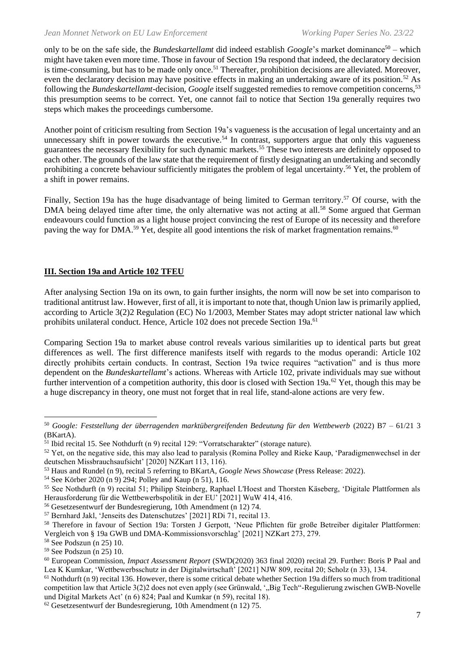only to be on the safe side, the *Bundeskartellamt* did indeed establish *Google*'s market dominance<sup>50</sup> – which might have taken even more time. Those in favour of Section 19a respond that indeed, the declaratory decision is time-consuming, but has to be made only once.<sup>51</sup> Thereafter, prohibition decisions are alleviated. Moreover, even the declaratory decision may have positive effects in making an undertaking aware of its position.<sup>52</sup> As following the *Bundeskartellamt*-decision, *Google* itself suggested remedies to remove competition concerns,<sup>53</sup> this presumption seems to be correct. Yet, one cannot fail to notice that Section 19a generally requires two steps which makes the proceedings cumbersome.

Another point of criticism resulting from Section 19a's vagueness is the accusation of legal uncertainty and an unnecessary shift in power towards the executive.<sup>54</sup> In contrast, supporters argue that only this vagueness guarantees the necessary flexibility for such dynamic markets.<sup>55</sup> These two interests are definitely opposed to each other. The grounds of the law state that the requirement of firstly designating an undertaking and secondly prohibiting a concrete behaviour sufficiently mitigates the problem of legal uncertainty.<sup>56</sup> Yet, the problem of a shift in power remains.

Finally, Section 19a has the huge disadvantage of being limited to German territory.<sup>57</sup> Of course, with the DMA being delayed time after time, the only alternative was not acting at all.<sup>58</sup> Some argued that German endeavours could function as a light house project convincing the rest of Europe of its necessity and therefore paving the way for DMA.<sup>59</sup> Yet, despite all good intentions the risk of market fragmentation remains.<sup>60</sup>

# **III. Section 19a and Article 102 TFEU**

After analysing Section 19a on its own, to gain further insights, the norm will now be set into comparison to traditional antitrust law. However, first of all, it is important to note that, though Union law is primarily applied, according to Article 3(2)2 Regulation (EC) No 1/2003, Member States may adopt stricter national law which prohibits unilateral conduct. Hence, Article 102 does not precede Section 19a.<sup>61</sup>

Comparing Section 19a to market abuse control reveals various similarities up to identical parts but great differences as well. The first difference manifests itself with regards to the modus operandi: Article 102 directly prohibits certain conducts. In contrast, Section 19a twice requires "activation" and is thus more dependent on the *Bundeskartellamt*'s actions. Whereas with Article 102, private individuals may sue without further intervention of a competition authority, this door is closed with Section 19 $a^{62}$  Yet, though this may be a huge discrepancy in theory, one must not forget that in real life, stand-alone actions are very few.

<sup>50</sup> *Google: Feststellung der überragenden marktübergreifenden Bedeutung für den Wettbewerb* (2022) B7 – 61/21 3 (BKartA).

<sup>51</sup> Ibid recital 15. See Nothdurft (n 9) recital 129: "Vorratscharakter" (storage nature).

 $52$  Yet, on the negative side, this may also lead to paralysis (Romina Polley and Rieke Kaup, 'Paradigmenwechsel in der deutschen Missbrauchsaufsicht' [2020] NZKart 113, 116).

<sup>53</sup> Haus and Rundel (n 9), recital 5 referring to BKartA, *Google News Showcase* (Press Release: 2022).

<sup>54</sup> See Körber 2020 (n 9) 294; Polley and Kaup (n 51), 116.

<sup>55</sup> See Nothdurft (n 9) recital 51; Philipp Steinberg, Raphael L'Hoest and Thorsten Käseberg, 'Digitale Plattformen als Herausforderung für die Wettbewerbspolitik in der EU' [2021] WuW 414, 416.

<sup>56</sup> Gesetzesentwurf der Bundesregierung, 10th Amendment (n 12) 74.

<sup>57</sup> Bernhard Jakl, 'Jenseits des Datenschutzes' [2021] RDi 71, recital 13.

<sup>58</sup> Therefore in favour of Section 19a: Torsten J Gerpott, 'Neue Pflichten für große Betreiber digitaler Plattformen: Vergleich von § 19a GWB und DMA-Kommissionsvorschlag' [2021] NZKart 273, 279.

<sup>58</sup> See Podszun (n 25) 10.

<sup>59</sup> See Podszun (n 25) 10.

<sup>60</sup> European Commission, *Impact Assessment Report* (SWD(2020) 363 final 2020) recital 29. Further: Boris P Paal and Lea K Kumkar, 'Wettbewerbsschutz in der Digitalwirtschaft' [2021] NJW 809, recital 20; Scholz (n 33), 134.

 $61$  Nothdurft (n 9) recital 136. However, there is some critical debate whether Section 19a differs so much from traditional competition law that Article 3(2)2 does not even apply (see Grünwald, '.,Big Tech"-Regulierung zwischen GWB-Novelle und Digital Markets Act' (n 6) 824; Paal and Kumkar (n 59), recital 18).

<sup>62</sup> Gesetzesentwurf der Bundesregierung, 10th Amendment (n 12) 75.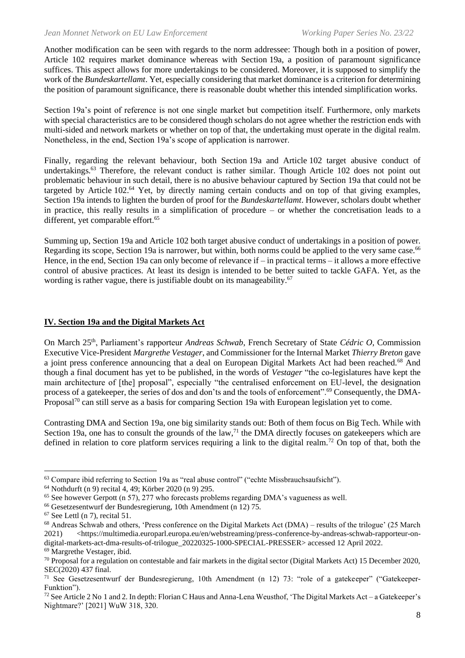Another modification can be seen with regards to the norm addressee: Though both in a position of power, Article 102 requires market dominance whereas with Section 19a, a position of paramount significance suffices. This aspect allows for more undertakings to be considered. Moreover, it is supposed to simplify the work of the *Bundeskartellamt*. Yet, especially considering that market dominance is a criterion for determining the position of paramount significance, there is reasonable doubt whether this intended simplification works.

Section 19a's point of reference is not one single market but competition itself. Furthermore, only markets with special characteristics are to be considered though scholars do not agree whether the restriction ends with multi-sided and network markets or whether on top of that, the undertaking must operate in the digital realm. Nonetheless, in the end, Section 19a's scope of application is narrower.

Finally, regarding the relevant behaviour, both Section 19a and Article 102 target abusive conduct of undertakings.<sup>63</sup> Therefore, the relevant conduct is rather similar. Though Article 102 does not point out problematic behaviour in such detail, there is no abusive behaviour captured by Section 19a that could not be targeted by Article 102.<sup>64</sup> Yet, by directly naming certain conducts and on top of that giving examples, Section 19a intends to lighten the burden of proof for the *Bundeskartellamt*. However, scholars doubt whether in practice, this really results in a simplification of procedure – or whether the concretisation leads to a different, yet comparable effort.<sup>65</sup>

Summing up, Section 19a and Article 102 both target abusive conduct of undertakings in a position of power. Regarding its scope, Section 19a is narrower, but within, both norms could be applied to the very same case.<sup>66</sup> Hence, in the end, Section 19a can only become of relevance if – in practical terms – it allows a more effective control of abusive practices. At least its design is intended to be better suited to tackle GAFA. Yet, as the wording is rather vague, there is justifiable doubt on its manageability.<sup>67</sup>

#### **IV. Section 19a and the Digital Markets Act**

On March 25th, Parliament's rapporteur *Andreas Schwab*, French Secretary of State *Cédric O*, Commission Executive Vice-President *Margrethe Vestager*, and Commissioner for the Internal Market *Thierry Breton* gave a joint press conference announcing that a deal on European Digital Markets Act had been reached.<sup>68</sup> And though a final document has yet to be published, in the words of *Vestager* "the co-legislatures have kept the main architecture of [the] proposal", especially "the centralised enforcement on EU-level, the designation process of a gatekeeper, the series of dos and don'ts and the tools of enforcement".<sup>69</sup> Consequently, the DMA-Proposal<sup>70</sup> can still serve as a basis for comparing Section 19a with European legislation yet to come.

Contrasting DMA and Section 19a, one big similarity stands out: Both of them focus on Big Tech. While with Section 19a, one has to consult the grounds of the law,<sup>71</sup> the DMA directly focuses on gatekeepers which are defined in relation to core platform services requiring a link to the digital realm.<sup>72</sup> On top of that, both the

<sup>63</sup> Compare ibid referring to Section 19a as "real abuse control" ("echte Missbrauchsaufsicht").

<sup>64</sup> Nothdurft (n 9) recital 4, 49; Körber 2020 (n 9) 295.

 $65$  See however Gerpott (n 57), 277 who forecasts problems regarding DMA's vagueness as well.

<sup>66</sup> Gesetzesentwurf der Bundesregierung, 10th Amendment (n 12) 75.

 $67$  See Lettl (n 7), recital 51.

 $68$  Andreas Schwab and others, 'Press conference on the Digital Markets Act (DMA) – results of the trilogue' (25 March 2021) <https://multimedia.europarl.europa.eu/en/webstreaming/press-conference-by-andreas-schwab-rapporteur-ondigital-markets-act-dma-results-of-trilogue\_20220325-1000-SPECIAL-PRESSER> accessed 12 April 2022.

<sup>69</sup> Margrethe Vestager, ibid.

 $70$  Proposal for a regulation on contestable and fair markets in the digital sector (Digital Markets Act) 15 December 2020, SEC(2020) 437 final.

 $71$  See Gesetzesentwurf der Bundesregierung, 10th Amendment (n 12) 73: "role of a gatekeeper" ("Gatekeeper-Funktion").

<sup>&</sup>lt;sup>72</sup> See Article 2 No 1 and 2. In depth: Florian C Haus and Anna-Lena Weusthof, 'The Digital Markets Act – a Gatekeeper's Nightmare?' [2021] WuW 318, 320.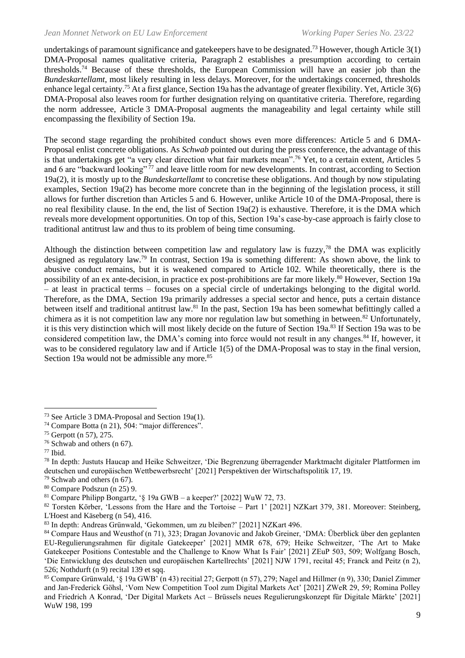undertakings of paramount significance and gatekeepers have to be designated.<sup>73</sup> However, though Article  $3(1)$ DMA-Proposal names qualitative criteria, Paragraph 2 establishes a presumption according to certain thresholds.<sup>74</sup> Because of these thresholds, the European Commission will have an easier job than the *Bundeskartellamt*, most likely resulting in less delays. Moreover, for the undertakings concerned, thresholds enhance legal certainty.<sup>75</sup> At a first glance, Section 19a has the advantage of greater flexibility. Yet, Article 3(6) DMA-Proposal also leaves room for further designation relying on quantitative criteria. Therefore, regarding the norm addressee, Article 3 DMA-Proposal augments the manageability and legal certainty while still encompassing the flexibility of Section 19a.

The second stage regarding the prohibited conduct shows even more differences: Article 5 and 6 DMA-Proposal enlist concrete obligations. As *Schwab* pointed out during the press conference, the advantage of this is that undertakings get "a very clear direction what fair markets mean".<sup>76</sup> Yet, to a certain extent, Articles 5 and 6 are "backward looking"<sup>77</sup> and leave little room for new developments. In contrast, according to Section 19a(2), it is mostly up to the *Bundeskartellamt* to concretise these obligations. And though by now stipulating examples, Section 19a(2) has become more concrete than in the beginning of the legislation process, it still allows for further discretion than Articles 5 and 6. However, unlike Article 10 of the DMA-Proposal, there is no real flexibility clause. In the end, the list of Section 19a(2) is exhaustive. Therefore, it is the DMA which reveals more development opportunities. On top of this, Section 19a's case-by-case approach is fairly close to traditional antitrust law and thus to its problem of being time consuming.

Although the distinction between competition law and regulatory law is fuzzy,<sup>78</sup> the DMA was explicitly designed as regulatory law.<sup>79</sup> In contrast, Section 19a is something different: As shown above, the link to abusive conduct remains, but it is weakened compared to Article 102. While theoretically, there is the possibility of an ex ante-decision, in practice ex post-prohibitions are far more likely.<sup>80</sup> However, Section 19a – at least in practical terms – focuses on a special circle of undertakings belonging to the digital world. Therefore, as the DMA, Section 19a primarily addresses a special sector and hence, puts a certain distance between itself and traditional antitrust law.<sup>81</sup> In the past, Section 19a has been somewhat befittingly called a chimera as it is not competition law any more nor regulation law but something in between.<sup>82</sup> Unfortunately, it is this very distinction which will most likely decide on the future of Section 19a.<sup>83</sup> If Section 19a was to be considered competition law, the DMA's coming into force would not result in any changes.<sup>84</sup> If, however, it was to be considered regulatory law and if Article 1(5) of the DMA-Proposal was to stay in the final version, Section 19a would not be admissible any more.<sup>85</sup>

<sup>76</sup> Schwab and others (n 67).

<sup>73</sup> See Article 3 DMA-Proposal and Section 19a(1).

<sup>74</sup> Compare Botta (n 21), 504: "major differences".

<sup>75</sup> Gerpott (n 57), 275.

 $77$  Ibid.

<sup>78</sup> In depth: Justuts Haucap and Heike Schweitzer, 'Die Begrenzung überragender Marktmacht digitaler Plattformen im deutschen und europäischen Wettbewerbsrecht' [2021] Perspektiven der Wirtschaftspolitik 17, 19.

<sup>79</sup> Schwab and others (n 67).

<sup>80</sup> Compare Podszun (n 25) 9.

 $81$  Compare Philipp Bongartz, ' $\S$  19a GWB – a keeper?' [2022] WuW 72, 73.

<sup>82</sup> Torsten Körber, 'Lessons from the Hare and the Tortoise – Part 1' [2021] NZKart 379, 381. Moreover: Steinberg, L'Hoest and Käseberg (n 54), 416.

<sup>83</sup> In depth: Andreas Grünwald, 'Gekommen, um zu bleiben?' [2021] NZKart 496.

<sup>84</sup> Compare Haus and Weusthof (n 71), 323; Dragan Jovanovic and Jakob Greiner, 'DMA: Überblick über den geplanten EU-Regulierungsrahmen für digitale Gatekeeper' [2021] MMR 678, 679; Heike Schweitzer, 'The Art to Make Gatekeeper Positions Contestable and the Challenge to Know What Is Fair' [2021] ZEuP 503, 509; Wolfgang Bosch, 'Die Entwicklung des deutschen und europäischen Kartellrechts' [2021] NJW 1791, recital 45; Franck and Peitz (n 2), 526; Nothdurft (n 9) recital 139 et sqq.

<sup>&</sup>lt;sup>85</sup> Compare Grünwald, '§ 19a GWB' (n 43) recitial 27; Gerpott (n 57), 279; Nagel and Hillmer (n 9), 330; Daniel Zimmer and Jan-Frederick Göhsl, 'Vom New Competition Tool zum Digital Markets Act' [2021] ZWeR 29, 59; Romina Polley and Friedrich A Konrad, 'Der Digital Markets Act – Brüssels neues Regulierungskonzept für Digitale Märkte' [2021] WuW 198, 199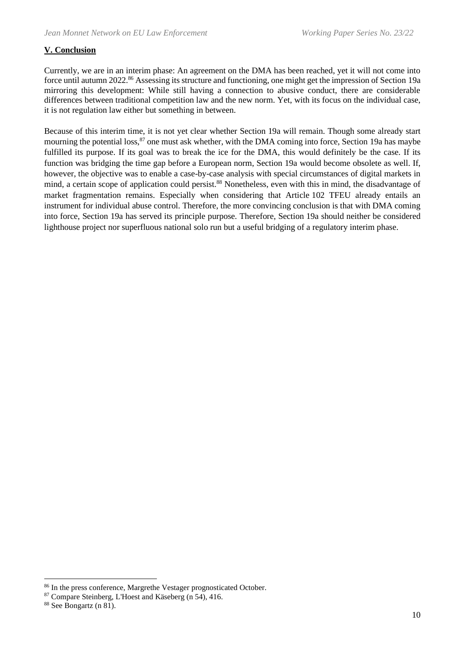# **V. Conclusion**

Currently, we are in an interim phase: An agreement on the DMA has been reached, yet it will not come into force until autumn 2022.<sup>86</sup> Assessing its structure and functioning, one might get the impression of Section 19a mirroring this development: While still having a connection to abusive conduct, there are considerable differences between traditional competition law and the new norm. Yet, with its focus on the individual case, it is not regulation law either but something in between.

Because of this interim time, it is not yet clear whether Section 19a will remain. Though some already start mourning the potential loss,<sup>87</sup> one must ask whether, with the DMA coming into force, Section 19a has maybe fulfilled its purpose. If its goal was to break the ice for the DMA, this would definitely be the case. If its function was bridging the time gap before a European norm, Section 19a would become obsolete as well. If, however, the objective was to enable a case-by-case analysis with special circumstances of digital markets in mind, a certain scope of application could persist.<sup>88</sup> Nonetheless, even with this in mind, the disadvantage of market fragmentation remains. Especially when considering that Article 102 TFEU already entails an instrument for individual abuse control. Therefore, the more convincing conclusion is that with DMA coming into force, Section 19a has served its principle purpose. Therefore, Section 19a should neither be considered lighthouse project nor superfluous national solo run but a useful bridging of a regulatory interim phase.

<sup>86</sup> In the press conference, Margrethe Vestager prognosticated October.

<sup>87</sup> Compare Steinberg, L'Hoest and Käseberg (n 54), 416.

<sup>88</sup> See Bongartz (n 81).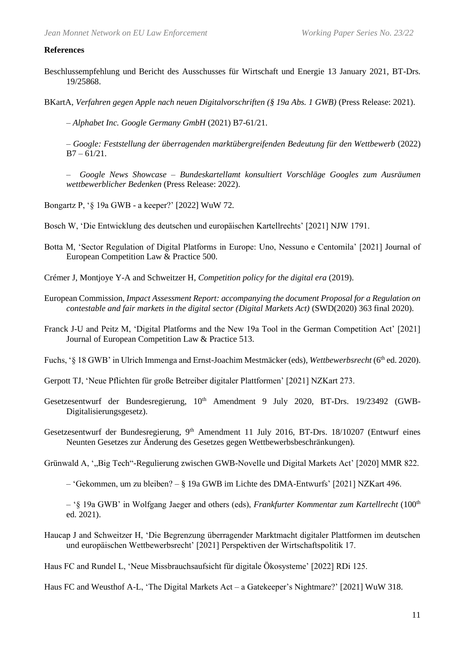#### **References**

- Beschlussempfehlung und Bericht des Ausschusses für Wirtschaft und Energie 13 January 2021, BT-Drs. 19/25868.
- BKartA, *Verfahren gegen Apple nach neuen Digitalvorschriften (§ 19a Abs. 1 GWB)* (Press Release: 2021).

– *Alphabet Inc. Google Germany GmbH* (2021) B7-61/21.

– *Google: Feststellung der überragenden marktübergreifenden Bedeutung für den Wettbewerb* (2022)  $B7 - 61/21$ .

– *Google News Showcase – Bundeskartellamt konsultiert Vorschläge Googles zum Ausräumen wettbewerblicher Bedenken* (Press Release: 2022).

Bongartz P, '§ 19a GWB - a keeper?' [2022] WuW 72.

Bosch W, 'Die Entwicklung des deutschen und europäischen Kartellrechts' [2021] NJW 1791.

Botta M, 'Sector Regulation of Digital Platforms in Europe: Uno, Nessuno e Centomila' [2021] Journal of European Competition Law & Practice 500.

Crémer J, Montjoye Y-A and Schweitzer H, *Competition policy for the digital era* (2019).

- European Commission, *Impact Assessment Report: accompanying the document Proposal for a Regulation on contestable and fair markets in the digital sector (Digital Markets Act)* (SWD(2020) 363 final 2020).
- Franck J-U and Peitz M, 'Digital Platforms and the New 19a Tool in the German Competition Act' [2021] Journal of European Competition Law & Practice 513.

Fuchs, '§ 18 GWB' in Ulrich Immenga and Ernst-Joachim Mestmäcker (eds), *Wettbewerbsrecht* (6<sup>th</sup> ed. 2020).

Gerpott TJ, 'Neue Pflichten für große Betreiber digitaler Plattformen' [2021] NZKart 273.

- Gesetzesentwurf der Bundesregierung,  $10<sup>th</sup>$  Amendment 9 July 2020, BT-Drs. 19/23492 (GWB-Digitalisierungsgesetz).
- Gesetzesentwurf der Bundesregierung, 9<sup>th</sup> Amendment 11 July 2016, BT-Drs. 18/10207 (Entwurf eines Neunten Gesetzes zur Änderung des Gesetzes gegen Wettbewerbsbeschränkungen).

Grünwald A, '"Big Tech"-Regulierung zwischen GWB-Novelle und Digital Markets Act' [2020] MMR 822.

– 'Gekommen, um zu bleiben? – § 19a GWB im Lichte des DMA-Entwurfs' [2021] NZKart 496.

– '§ 19a GWB' in Wolfgang Jaeger and others (eds), *Frankfurter Kommentar zum Kartellrecht* (100th ed. 2021).

Haucap J and Schweitzer H, 'Die Begrenzung überragender Marktmacht digitaler Plattformen im deutschen und europäischen Wettbewerbsrecht' [2021] Perspektiven der Wirtschaftspolitik 17.

Haus FC and Rundel L, 'Neue Missbrauchsaufsicht für digitale Ökosysteme' [2022] RDi 125.

Haus FC and Weusthof A-L, 'The Digital Markets Act – a Gatekeeper's Nightmare?' [2021] WuW 318.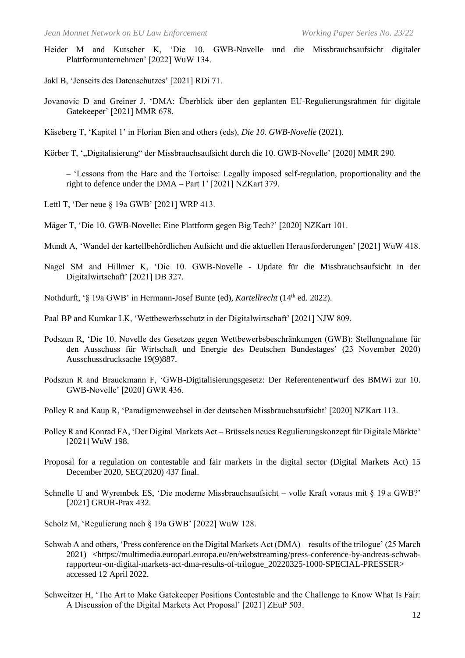- Heider M and Kutscher K, 'Die 10. GWB-Novelle und die Missbrauchsaufsicht digitaler Plattformunternehmen' [2022] WuW 134.
- Jakl B, 'Jenseits des Datenschutzes' [2021] RDi 71.
- Jovanovic D and Greiner J, 'DMA: Überblick über den geplanten EU-Regulierungsrahmen für digitale Gatekeeper' [2021] MMR 678.
- Käseberg T, 'Kapitel 1' in Florian Bien and others (eds), *Die 10. GWB-Novelle* (2021).
- Körber T, '"Digitalisierung" der Missbrauchsaufsicht durch die 10. GWB-Novelle' [2020] MMR 290.

– 'Lessons from the Hare and the Tortoise: Legally imposed self-regulation, proportionality and the right to defence under the DMA – Part 1' [2021] NZKart 379.

- Lettl T, 'Der neue § 19a GWB' [2021] WRP 413.
- Mäger T, 'Die 10. GWB-Novelle: Eine Plattform gegen Big Tech?' [2020] NZKart 101.
- Mundt A, 'Wandel der kartellbehördlichen Aufsicht und die aktuellen Herausforderungen' [2021] WuW 418.
- Nagel SM and Hillmer K, 'Die 10. GWB-Novelle Update für die Missbrauchsaufsicht in der Digitalwirtschaft' [2021] DB 327.
- Nothdurft, '§ 19a GWB' in Hermann-Josef Bunte (ed), *Kartellrecht* (14<sup>th</sup> ed. 2022).
- Paal BP and Kumkar LK, 'Wettbewerbsschutz in der Digitalwirtschaft' [2021] NJW 809.
- Podszun R, 'Die 10. Novelle des Gesetzes gegen Wettbewerbsbeschränkungen (GWB): Stellungnahme für den Ausschuss für Wirtschaft und Energie des Deutschen Bundestages' (23 November 2020) Ausschussdrucksache 19(9)887.
- Podszun R and Brauckmann F, 'GWB-Digitalisierungsgesetz: Der Referentenentwurf des BMWi zur 10. GWB-Novelle' [2020] GWR 436.
- Polley R and Kaup R, 'Paradigmenwechsel in der deutschen Missbrauchsaufsicht' [2020] NZKart 113.
- Polley R and Konrad FA, 'Der Digital Markets Act Brüssels neues Regulierungskonzept für Digitale Märkte' [2021] WuW 198.
- Proposal for a regulation on contestable and fair markets in the digital sector (Digital Markets Act) 15 December 2020, SEC(2020) 437 final.
- Schnelle U and Wyrembek ES, 'Die moderne Missbrauchsaufsicht volle Kraft voraus mit § 19 a GWB?' [2021] GRUR-Prax 432.
- Scholz M, 'Regulierung nach § 19a GWB' [2022] WuW 128.
- Schwab A and others, 'Press conference on the Digital Markets Act (DMA) results of the trilogue' (25 March 2021) <https://multimedia.europarl.europa.eu/en/webstreaming/press-conference-by-andreas-schwabrapporteur-on-digital-markets-act-dma-results-of-trilogue\_20220325-1000-SPECIAL-PRESSER> accessed 12 April 2022.
- Schweitzer H, 'The Art to Make Gatekeeper Positions Contestable and the Challenge to Know What Is Fair: A Discussion of the Digital Markets Act Proposal' [2021] ZEuP 503.